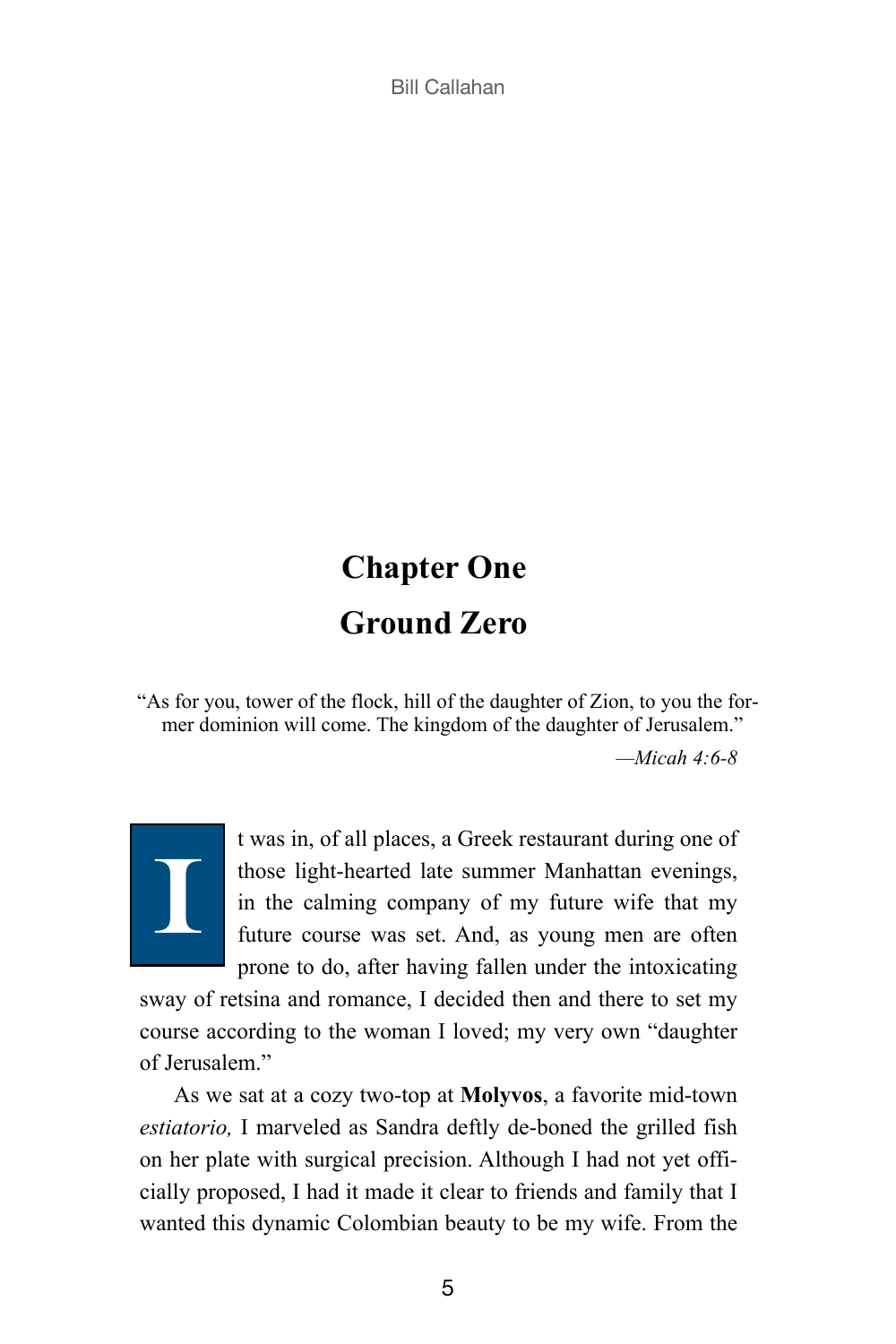# **Chapter One Ground Zero**

"As for you, tower of the flock, hill of the daughter of Zion, to you the former dominion will come. The kingdom of the daughter of Jerusalem."

*—Micah 4:6-8*



t was in, of all places, a Greek restaurant during one of those light-hearted late summer Manhattan evenings, in the calming company of my future wife that my future course was set. And, as young men are often prone to do, after having fallen under the intoxicating

sway of retsina and romance, I decided then and there to set my course according to the woman I loved; my very own "daughter of Jerusalem<sup>"</sup>

As we sat at a cozy two-top at **Molyvos**, a favorite mid-town *estiatorio,* I marveled as Sandra deftly de-boned the grilled fish on her plate with surgical precision. Although I had not yet officially proposed, I had it made it clear to friends and family that I wanted this dynamic Colombian beauty to be my wife. From the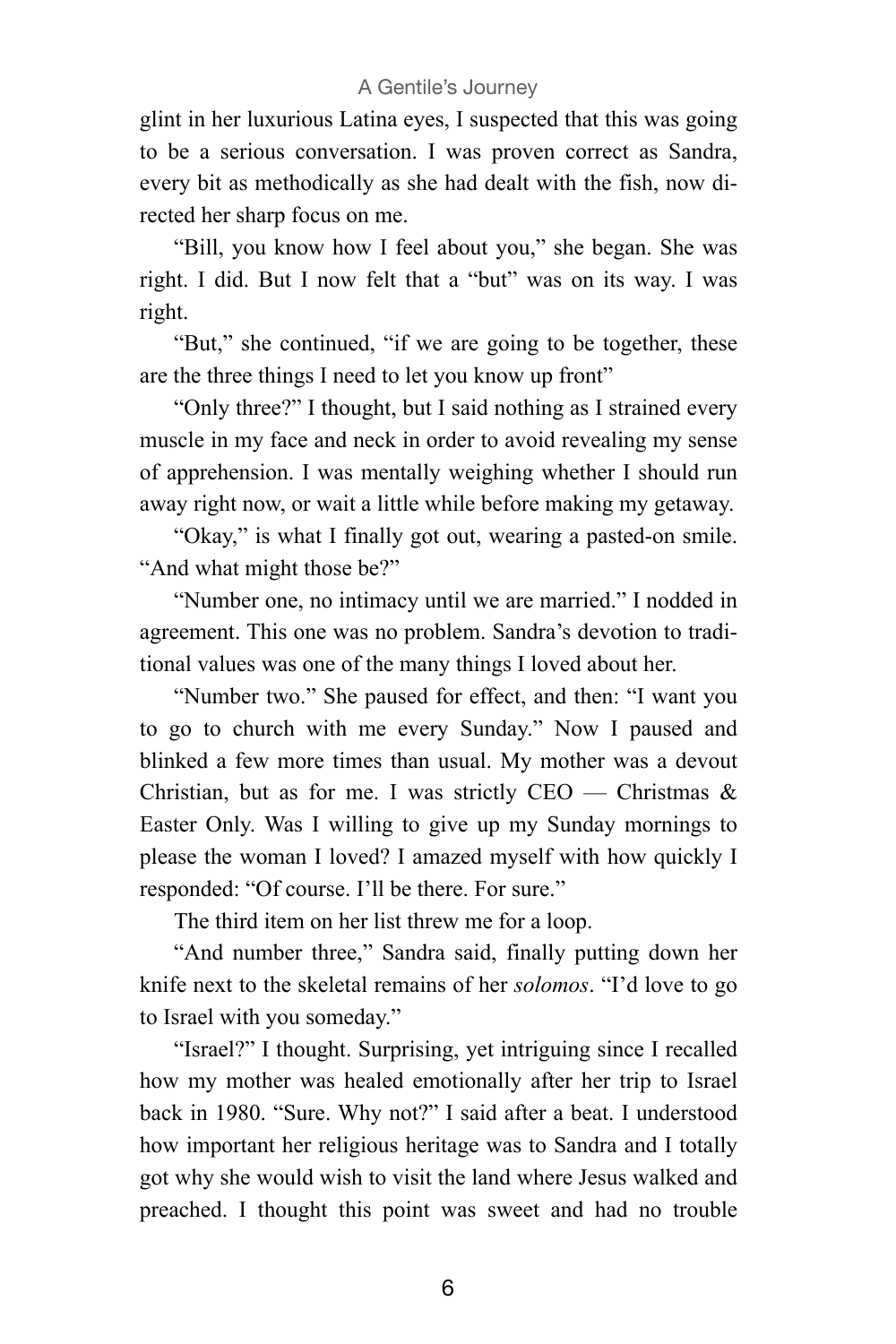glint in her luxurious Latina eyes, I suspected that this was going to be a serious conversation. I was proven correct as Sandra, every bit as methodically as she had dealt with the fish, now directed her sharp focus on me.

"Bill, you know how I feel about you," she began. She was right. I did. But I now felt that a "but" was on its way. I was right.

"But," she continued, "if we are going to be together, these are the three things I need to let you know up front"

"Only three?" I thought, but I said nothing as I strained every muscle in my face and neck in order to avoid revealing my sense of apprehension. I was mentally weighing whether I should run away right now, or wait a little while before making my getaway.

"Okay," is what I finally got out, wearing a pasted-on smile. "And what might those be?"

"Number one, no intimacy until we are married." I nodded in agreement. This one was no problem. Sandra's devotion to traditional values was one of the many things I loved about her.

"Number two." She paused for effect, and then: "I want you to go to church with me every Sunday." Now I paused and blinked a few more times than usual. My mother was a devout Christian, but as for me. I was strictly CEO — Christmas  $\&$ Easter Only. Was I willing to give up my Sunday mornings to please the woman I loved? I amazed myself with how quickly I responded: "Of course. I'll be there. For sure."

The third item on her list threw me for a loop.

"And number three," Sandra said, finally putting down her knife next to the skeletal remains of her *solomos*. "I'd love to go to Israel with you someday."

"Israel?" I thought. Surprising, yet intriguing since I recalled how my mother was healed emotionally after her trip to Israel back in 1980. "Sure. Why not?" I said after a beat. I understood how important her religious heritage was to Sandra and I totally got why she would wish to visit the land where Jesus walked and preached. I thought this point was sweet and had no trouble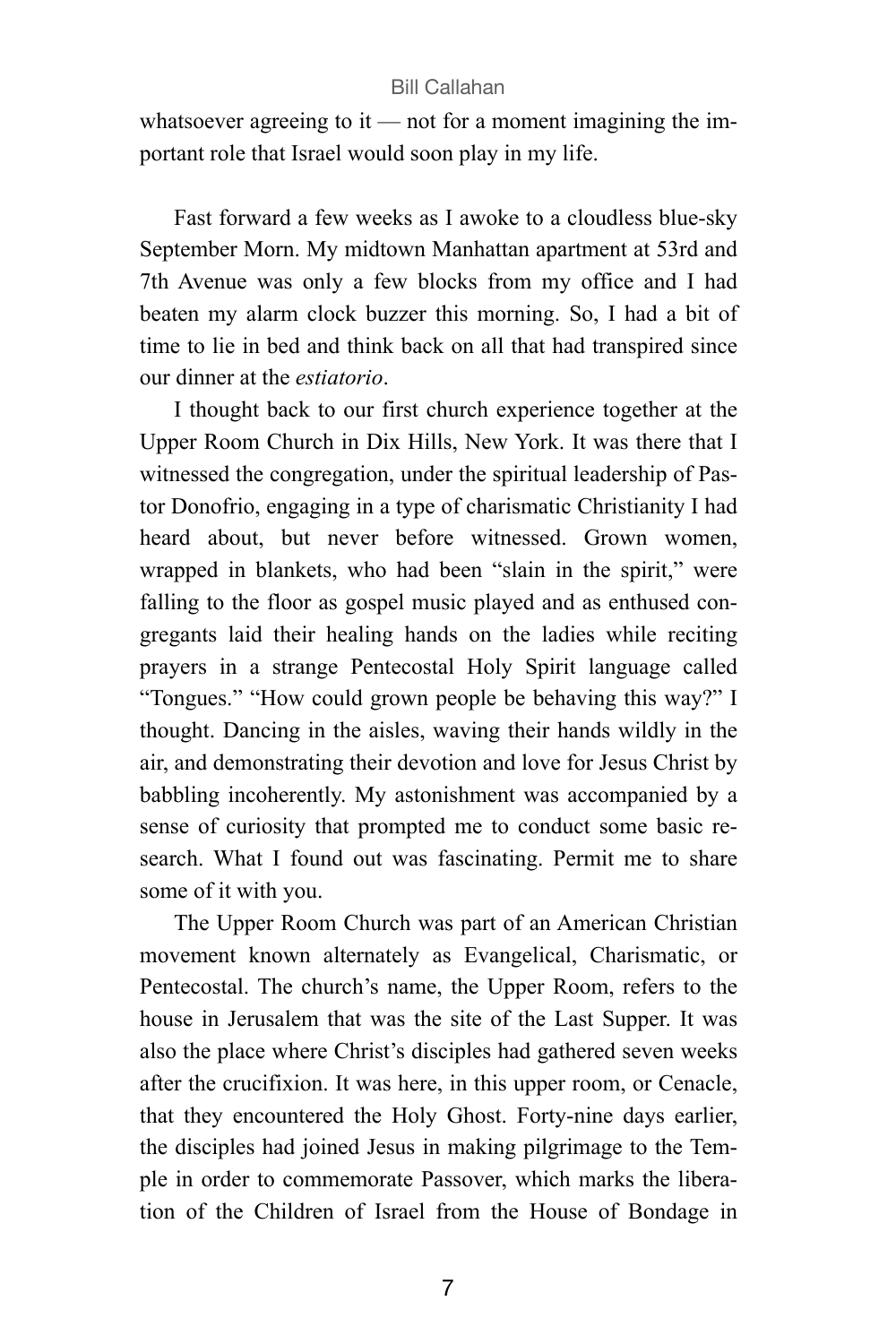whatsoever agreeing to it — not for a moment imagining the important role that Israel would soon play in my life.

Fast forward a few weeks as I awoke to a cloudless blue-sky September Morn. My midtown Manhattan apartment at 53rd and 7th Avenue was only a few blocks from my office and I had beaten my alarm clock buzzer this morning. So, I had a bit of time to lie in bed and think back on all that had transpired since our dinner at the *estiatorio*.

I thought back to our first church experience together at the Upper Room Church in Dix Hills, New York. It was there that I witnessed the congregation, under the spiritual leadership of Pastor Donofrio, engaging in a type of charismatic Christianity I had heard about, but never before witnessed. Grown women, wrapped in blankets, who had been "slain in the spirit," were falling to the floor as gospel music played and as enthused congregants laid their healing hands on the ladies while reciting prayers in a strange Pentecostal Holy Spirit language called "Tongues." "How could grown people be behaving this way?" I thought. Dancing in the aisles, waving their hands wildly in the air, and demonstrating their devotion and love for Jesus Christ by babbling incoherently. My astonishment was accompanied by a sense of curiosity that prompted me to conduct some basic research. What I found out was fascinating. Permit me to share some of it with you.

The Upper Room Church was part of an American Christian movement known alternately as Evangelical, Charismatic, or Pentecostal. The church's name, the Upper Room, refers to the house in Jerusalem that was the site of the Last Supper. It was also the place where Christ's disciples had gathered seven weeks after the crucifixion. It was here, in this upper room, or Cenacle, that they encountered the Holy Ghost. Forty-nine days earlier, the disciples had joined Jesus in making pilgrimage to the Temple in order to commemorate Passover, which marks the liberation of the Children of Israel from the House of Bondage in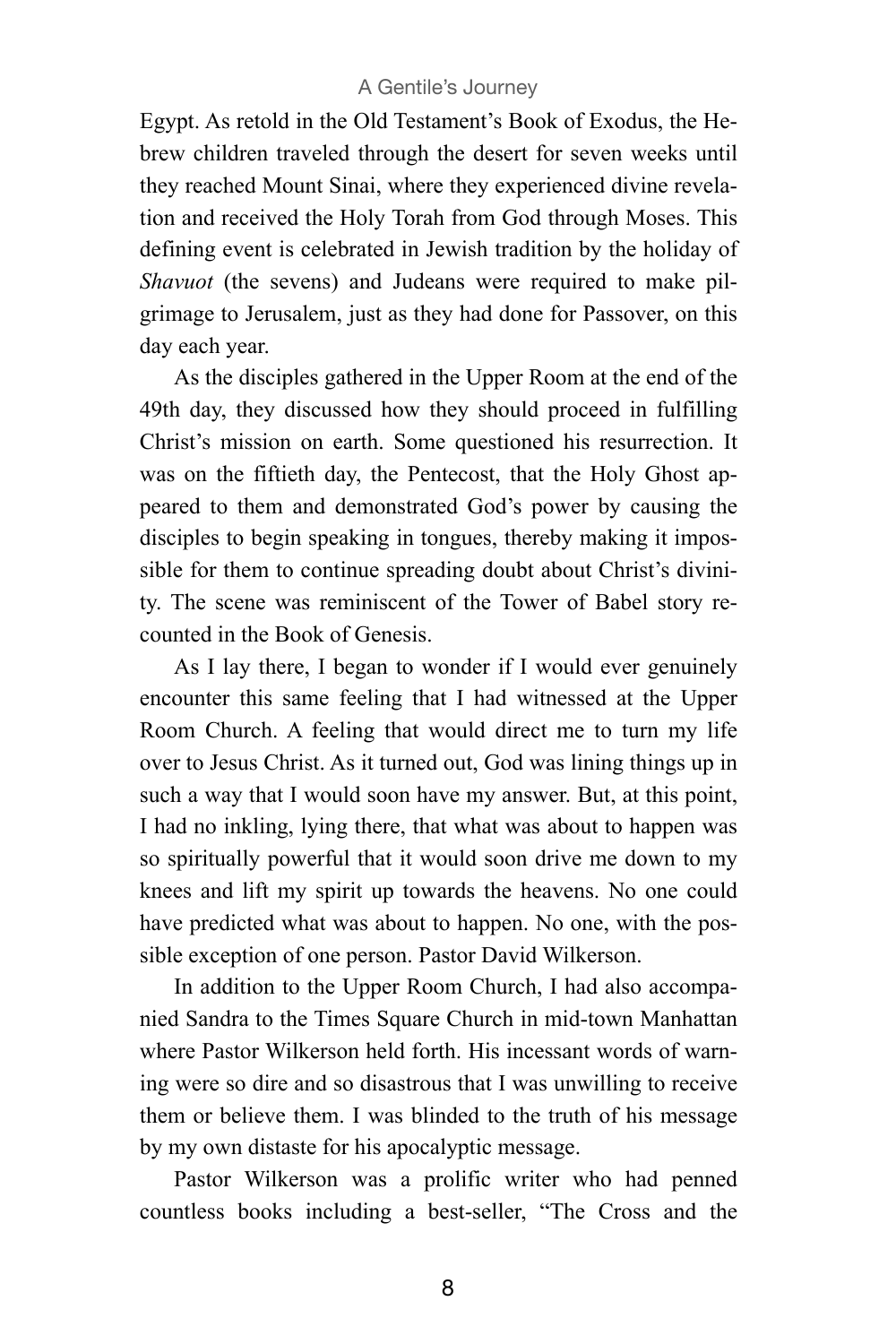# A Gentile's Journey

Egypt. As retold in the Old Testament's Book of Exodus, the Hebrew children traveled through the desert for seven weeks until they reached Mount Sinai, where they experienced divine revelation and received the Holy Torah from God through Moses. This defining event is celebrated in Jewish tradition by the holiday of *Shavuot* (the sevens) and Judeans were required to make pilgrimage to Jerusalem, just as they had done for Passover, on this day each year.

As the disciples gathered in the Upper Room at the end of the 49th day, they discussed how they should proceed in fulfilling Christ's mission on earth. Some questioned his resurrection. It was on the fiftieth day, the Pentecost, that the Holy Ghost appeared to them and demonstrated God's power by causing the disciples to begin speaking in tongues, thereby making it impossible for them to continue spreading doubt about Christ's divinity. The scene was reminiscent of the Tower of Babel story recounted in the Book of Genesis.

As I lay there, I began to wonder if I would ever genuinely encounter this same feeling that I had witnessed at the Upper Room Church. A feeling that would direct me to turn my life over to Jesus Christ. As it turned out, God was lining things up in such a way that I would soon have my answer. But, at this point, I had no inkling, lying there, that what was about to happen was so spiritually powerful that it would soon drive me down to my knees and lift my spirit up towards the heavens. No one could have predicted what was about to happen. No one, with the possible exception of one person. Pastor David Wilkerson.

In addition to the Upper Room Church, I had also accompanied Sandra to the Times Square Church in mid-town Manhattan where Pastor Wilkerson held forth. His incessant words of warning were so dire and so disastrous that I was unwilling to receive them or believe them. I was blinded to the truth of his message by my own distaste for his apocalyptic message.

Pastor Wilkerson was a prolific writer who had penned countless books including a best-seller, "The Cross and the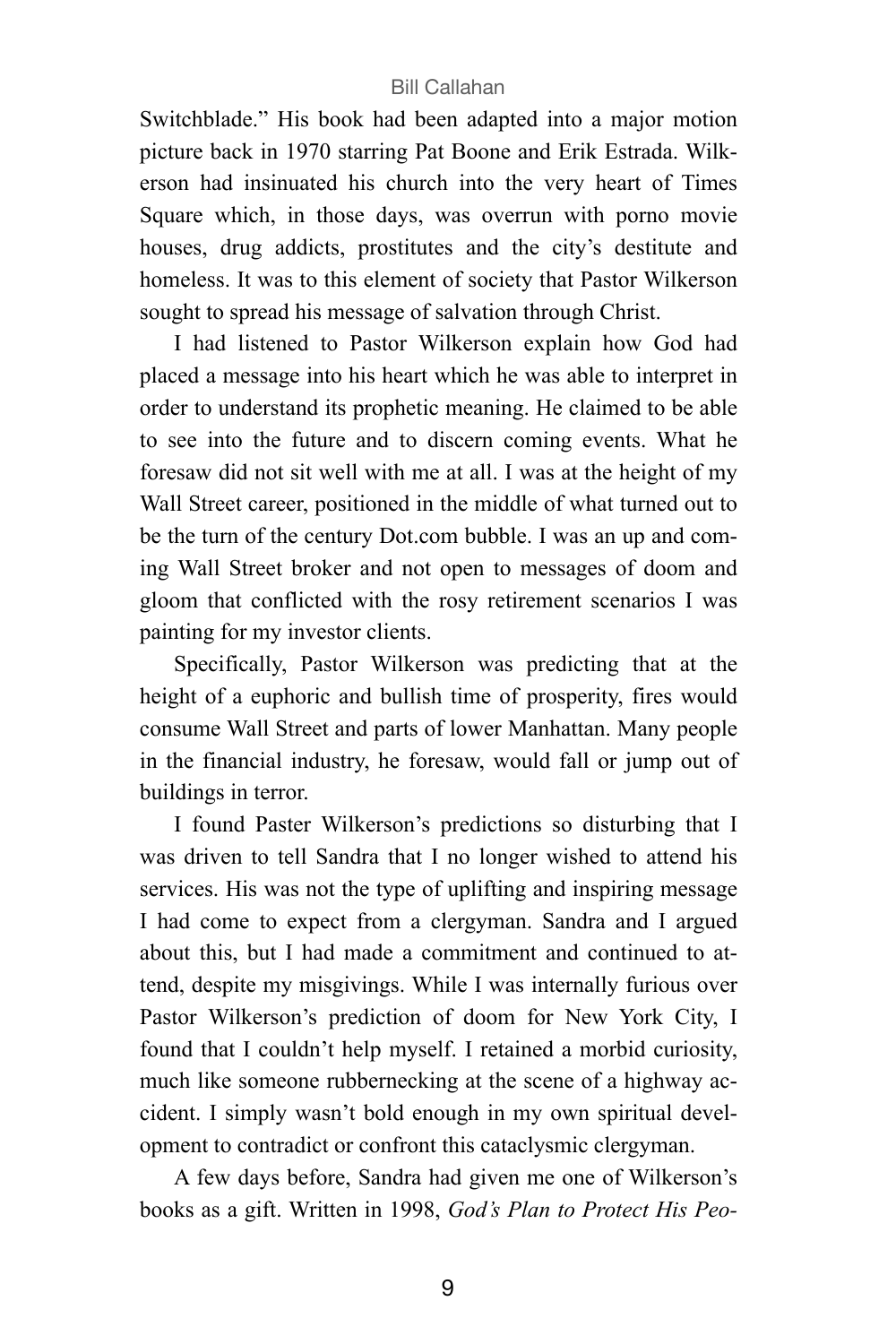Switchblade." His book had been adapted into a major motion picture back in 1970 starring Pat Boone and Erik Estrada. Wilkerson had insinuated his church into the very heart of Times Square which, in those days, was overrun with porno movie houses, drug addicts, prostitutes and the city's destitute and homeless. It was to this element of society that Pastor Wilkerson sought to spread his message of salvation through Christ.

I had listened to Pastor Wilkerson explain how God had placed a message into his heart which he was able to interpret in order to understand its prophetic meaning. He claimed to be able to see into the future and to discern coming events. What he foresaw did not sit well with me at all. I was at the height of my Wall Street career, positioned in the middle of what turned out to be the turn of the century Dot.com bubble. I was an up and coming Wall Street broker and not open to messages of doom and gloom that conflicted with the rosy retirement scenarios I was painting for my investor clients.

Specifically, Pastor Wilkerson was predicting that at the height of a euphoric and bullish time of prosperity, fires would consume Wall Street and parts of lower Manhattan. Many people in the financial industry, he foresaw, would fall or jump out of buildings in terror.

I found Paster Wilkerson's predictions so disturbing that I was driven to tell Sandra that I no longer wished to attend his services. His was not the type of uplifting and inspiring message I had come to expect from a clergyman. Sandra and I argued about this, but I had made a commitment and continued to attend, despite my misgivings. While I was internally furious over Pastor Wilkerson's prediction of doom for New York City, I found that I couldn't help myself. I retained a morbid curiosity, much like someone rubbernecking at the scene of a highway accident. I simply wasn't bold enough in my own spiritual development to contradict or confront this cataclysmic clergyman.

A few days before, Sandra had given me one of Wilkerson's books as a gift. Written in 1998, *God's Plan to Protect His Peo-*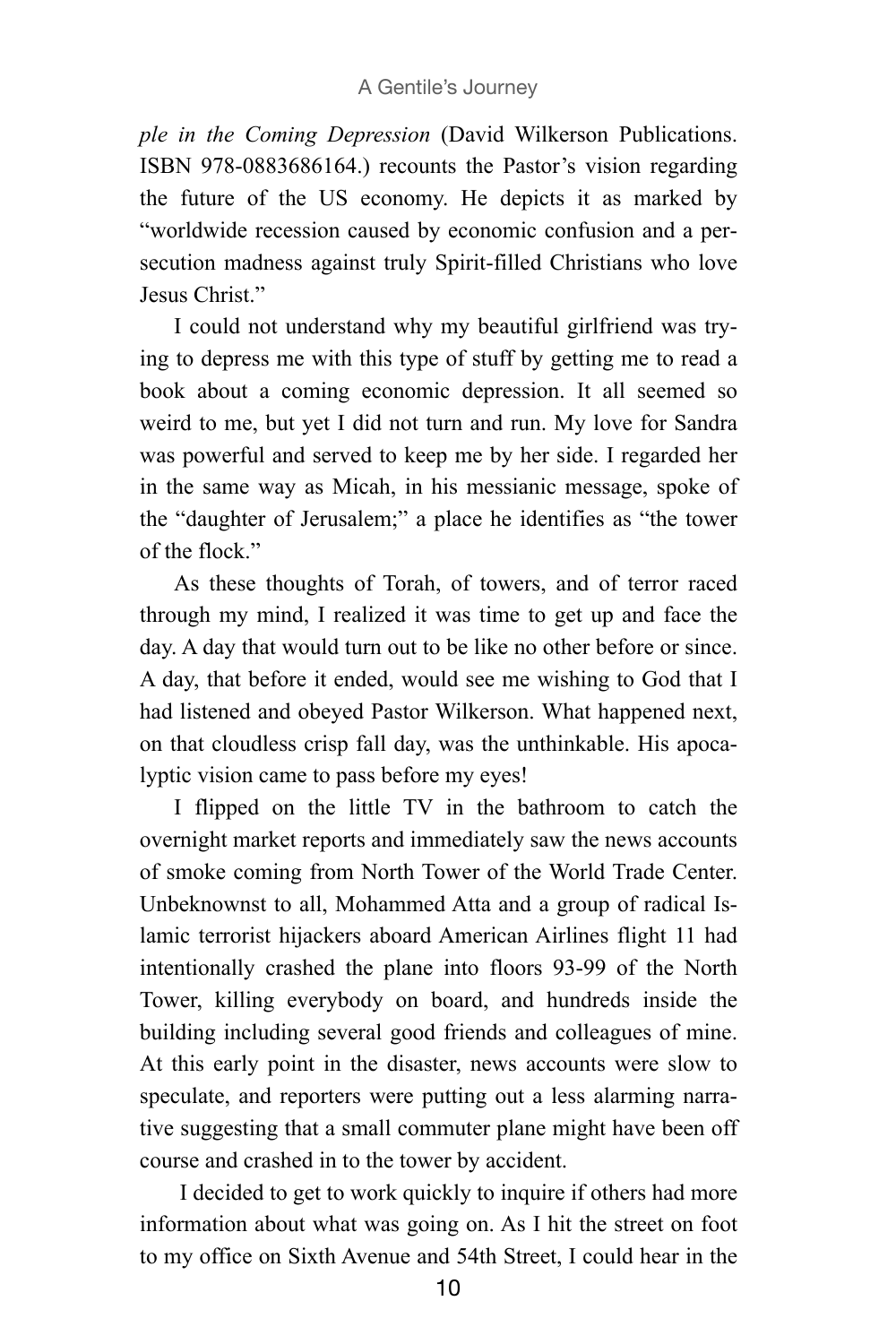*ple in the Coming Depression* (David Wilkerson Publications. ISBN 978-0883686164.) recounts the Pastor's vision regarding the future of the US economy. He depicts it as marked by "worldwide recession caused by economic confusion and a persecution madness against truly Spirit-filled Christians who love Jesus Christ."

I could not understand why my beautiful girlfriend was trying to depress me with this type of stuff by getting me to read a book about a coming economic depression. It all seemed so weird to me, but yet I did not turn and run. My love for Sandra was powerful and served to keep me by her side. I regarded her in the same way as Micah, in his messianic message, spoke of the "daughter of Jerusalem;" a place he identifies as "the tower of the flock."

As these thoughts of Torah, of towers, and of terror raced through my mind, I realized it was time to get up and face the day. A day that would turn out to be like no other before or since. A day, that before it ended, would see me wishing to God that I had listened and obeyed Pastor Wilkerson. What happened next, on that cloudless crisp fall day, was the unthinkable. His apocalyptic vision came to pass before my eyes!

I flipped on the little TV in the bathroom to catch the overnight market reports and immediately saw the news accounts of smoke coming from North Tower of the World Trade Center. Unbeknownst to all, Mohammed Atta and a group of radical Islamic terrorist hijackers aboard American Airlines flight 11 had intentionally crashed the plane into floors 93-99 of the North Tower, killing everybody on board, and hundreds inside the building including several good friends and colleagues of mine. At this early point in the disaster, news accounts were slow to speculate, and reporters were putting out a less alarming narrative suggesting that a small commuter plane might have been off course and crashed in to the tower by accident.

 I decided to get to work quickly to inquire if others had more information about what was going on. As I hit the street on foot to my office on Sixth Avenue and 54th Street, I could hear in the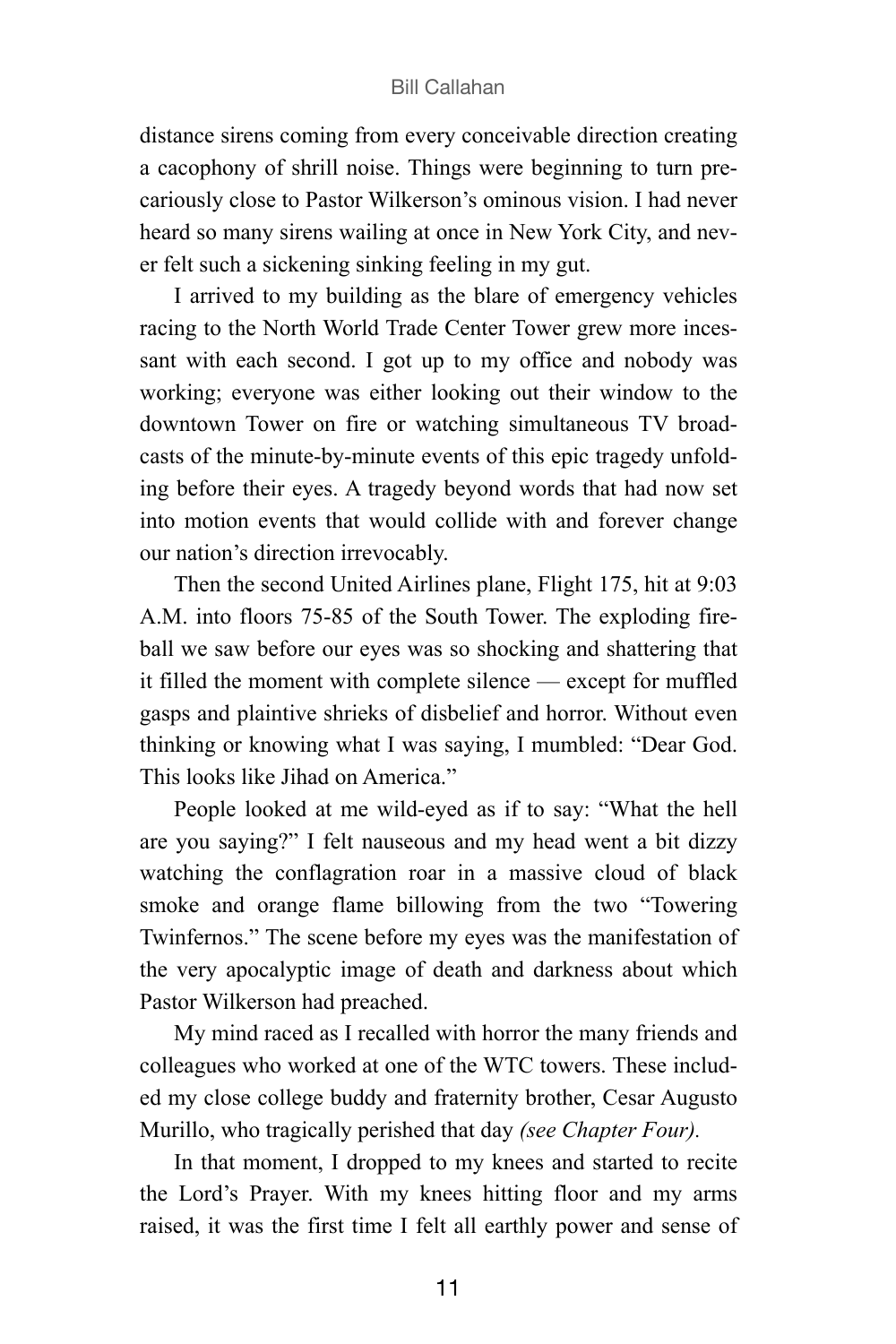distance sirens coming from every conceivable direction creating a cacophony of shrill noise. Things were beginning to turn precariously close to Pastor Wilkerson's ominous vision. I had never heard so many sirens wailing at once in New York City, and never felt such a sickening sinking feeling in my gut.

I arrived to my building as the blare of emergency vehicles racing to the North World Trade Center Tower grew more incessant with each second. I got up to my office and nobody was working; everyone was either looking out their window to the downtown Tower on fire or watching simultaneous TV broadcasts of the minute-by-minute events of this epic tragedy unfolding before their eyes. A tragedy beyond words that had now set into motion events that would collide with and forever change our nation's direction irrevocably.

Then the second United Airlines plane, Flight 175, hit at 9:03 A.M. into floors 75-85 of the South Tower. The exploding fireball we saw before our eyes was so shocking and shattering that it filled the moment with complete silence — except for muffled gasps and plaintive shrieks of disbelief and horror. Without even thinking or knowing what I was saying, I mumbled: "Dear God. This looks like Jihad on America."

People looked at me wild-eyed as if to say: "What the hell are you saying?" I felt nauseous and my head went a bit dizzy watching the conflagration roar in a massive cloud of black smoke and orange flame billowing from the two "Towering Twinfernos." The scene before my eyes was the manifestation of the very apocalyptic image of death and darkness about which Pastor Wilkerson had preached.

My mind raced as I recalled with horror the many friends and colleagues who worked at one of the WTC towers. These included my close college buddy and fraternity brother, Cesar Augusto Murillo, who tragically perished that day *(see Chapter Four).*

In that moment, I dropped to my knees and started to recite the Lord's Prayer. With my knees hitting floor and my arms raised, it was the first time I felt all earthly power and sense of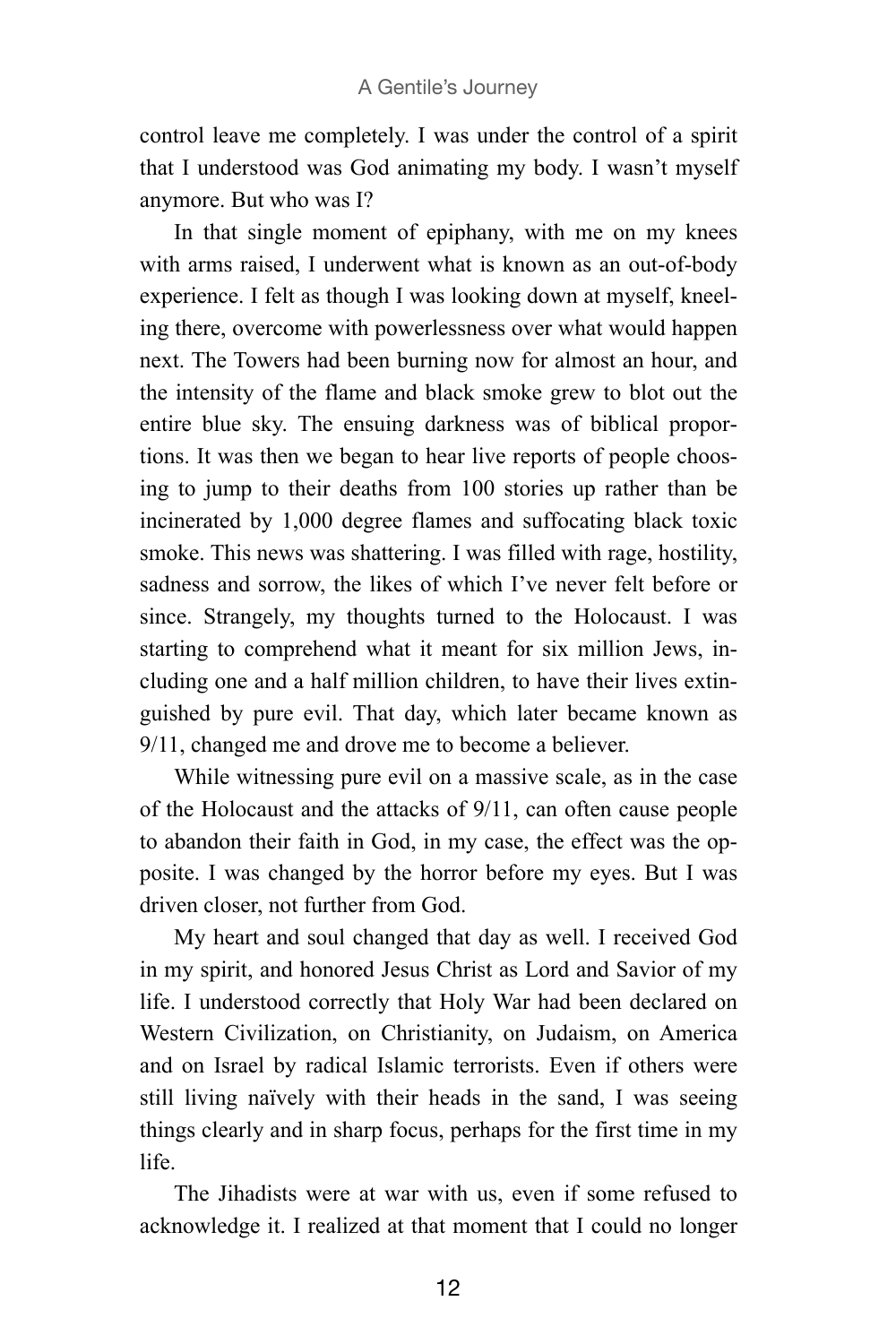control leave me completely. I was under the control of a spirit that I understood was God animating my body. I wasn't myself anymore. But who was I?

In that single moment of epiphany, with me on my knees with arms raised, I underwent what is known as an out-of-body experience. I felt as though I was looking down at myself, kneeling there, overcome with powerlessness over what would happen next. The Towers had been burning now for almost an hour, and the intensity of the flame and black smoke grew to blot out the entire blue sky. The ensuing darkness was of biblical proportions. It was then we began to hear live reports of people choosing to jump to their deaths from 100 stories up rather than be incinerated by 1,000 degree flames and suffocating black toxic smoke. This news was shattering. I was filled with rage, hostility, sadness and sorrow, the likes of which I've never felt before or since. Strangely, my thoughts turned to the Holocaust. I was starting to comprehend what it meant for six million Jews, including one and a half million children, to have their lives extinguished by pure evil. That day, which later became known as 9/11, changed me and drove me to become a believer.

While witnessing pure evil on a massive scale, as in the case of the Holocaust and the attacks of 9/11, can often cause people to abandon their faith in God, in my case, the effect was the opposite. I was changed by the horror before my eyes. But I was driven closer, not further from God.

My heart and soul changed that day as well. I received God in my spirit, and honored Jesus Christ as Lord and Savior of my life. I understood correctly that Holy War had been declared on Western Civilization, on Christianity, on Judaism, on America and on Israel by radical Islamic terrorists. Even if others were still living naïvely with their heads in the sand, I was seeing things clearly and in sharp focus, perhaps for the first time in my life.

The Jihadists were at war with us, even if some refused to acknowledge it. I realized at that moment that I could no longer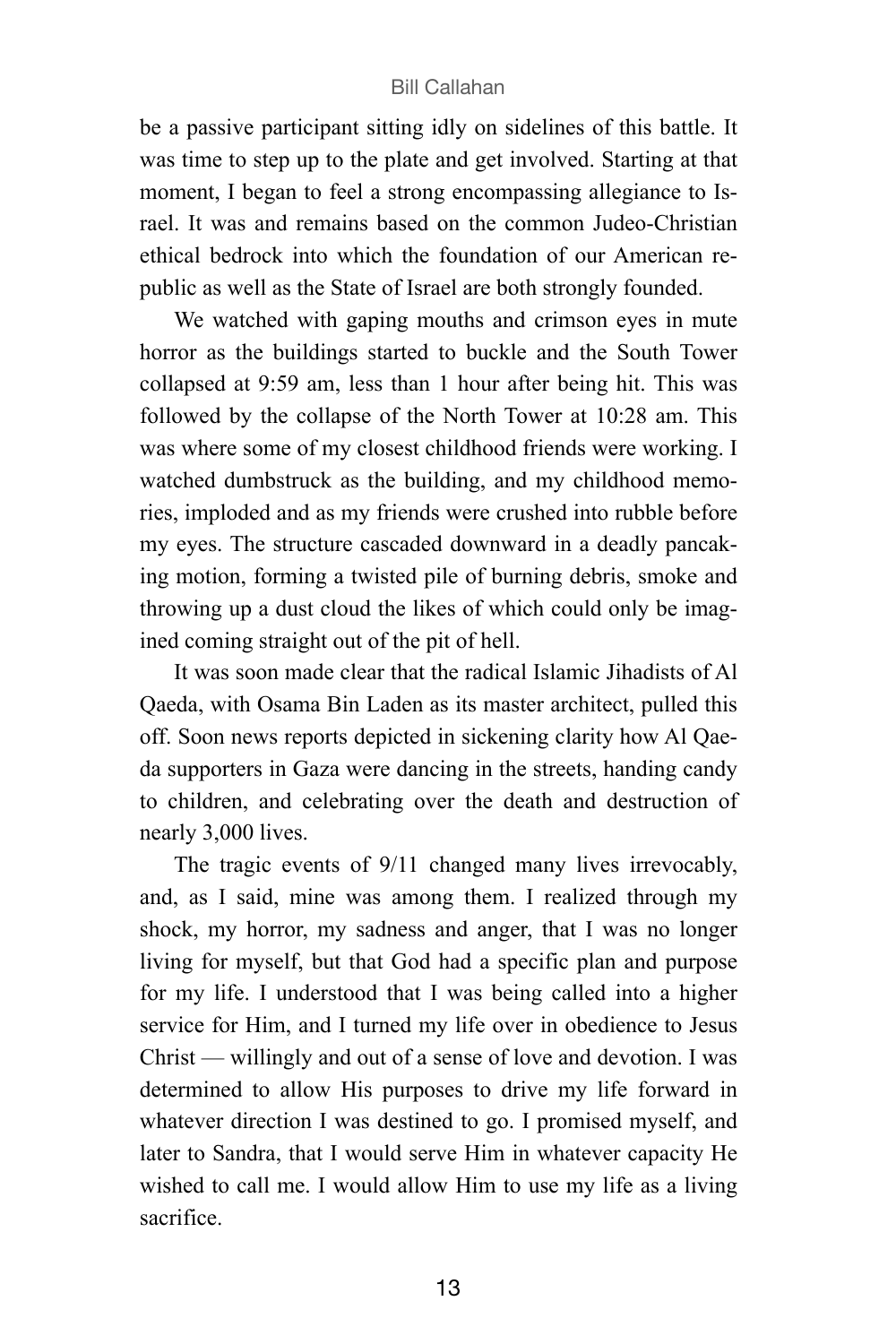be a passive participant sitting idly on sidelines of this battle. It was time to step up to the plate and get involved. Starting at that moment, I began to feel a strong encompassing allegiance to Israel. It was and remains based on the common Judeo-Christian ethical bedrock into which the foundation of our American republic as well as the State of Israel are both strongly founded.

We watched with gaping mouths and crimson eyes in mute horror as the buildings started to buckle and the South Tower collapsed at 9:59 am, less than 1 hour after being hit. This was followed by the collapse of the North Tower at 10:28 am. This was where some of my closest childhood friends were working. I watched dumbstruck as the building, and my childhood memories, imploded and as my friends were crushed into rubble before my eyes. The structure cascaded downward in a deadly pancaking motion, forming a twisted pile of burning debris, smoke and throwing up a dust cloud the likes of which could only be imagined coming straight out of the pit of hell.

It was soon made clear that the radical Islamic Jihadists of Al Qaeda, with Osama Bin Laden as its master architect, pulled this off. Soon news reports depicted in sickening clarity how Al Qaeda supporters in Gaza were dancing in the streets, handing candy to children, and celebrating over the death and destruction of nearly 3,000 lives.

The tragic events of 9/11 changed many lives irrevocably, and, as I said, mine was among them. I realized through my shock, my horror, my sadness and anger, that I was no longer living for myself, but that God had a specific plan and purpose for my life. I understood that I was being called into a higher service for Him, and I turned my life over in obedience to Jesus Christ — willingly and out of a sense of love and devotion. I was determined to allow His purposes to drive my life forward in whatever direction I was destined to go. I promised myself, and later to Sandra, that I would serve Him in whatever capacity He wished to call me. I would allow Him to use my life as a living sacrifice.